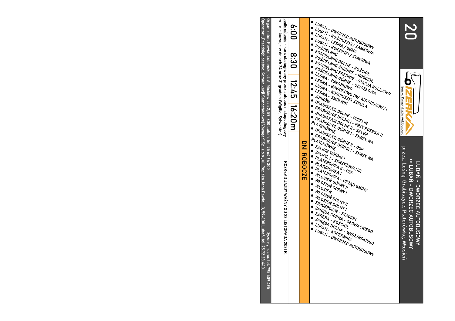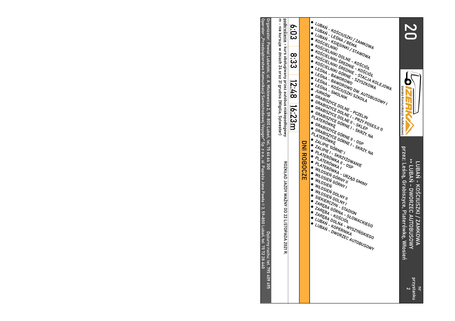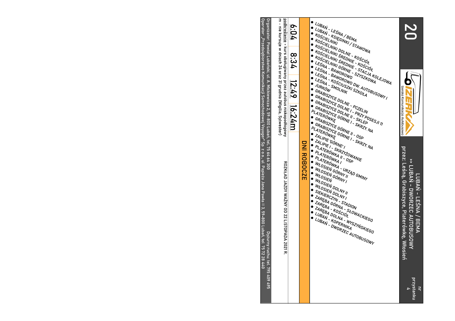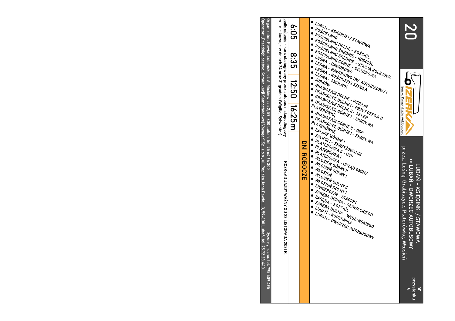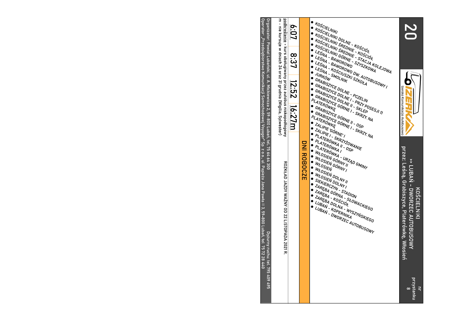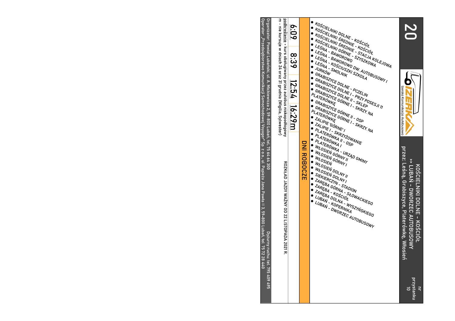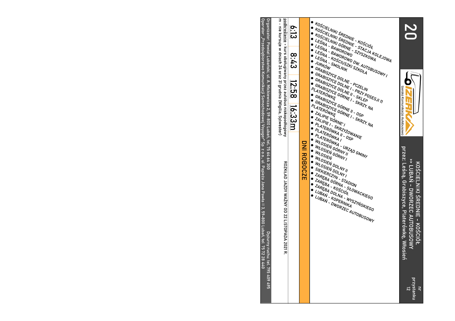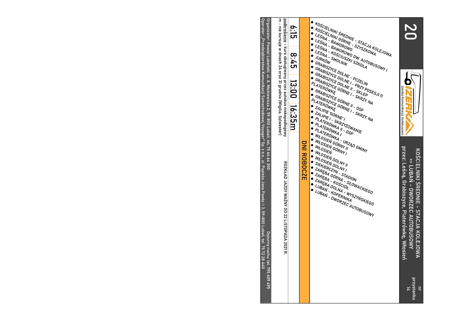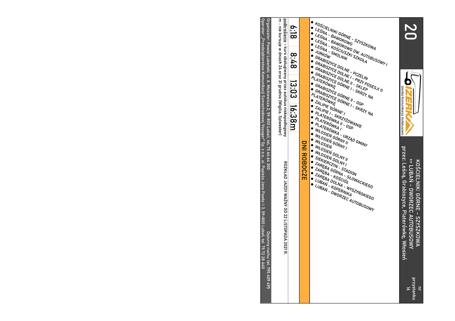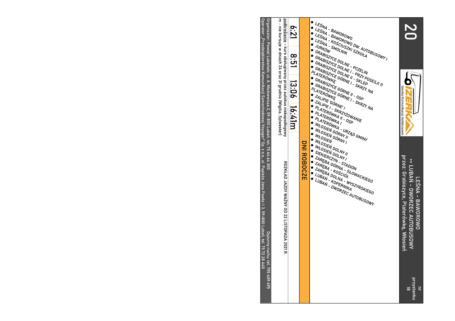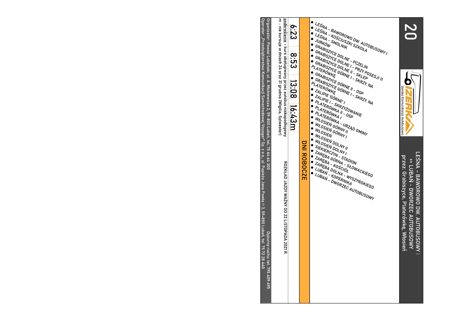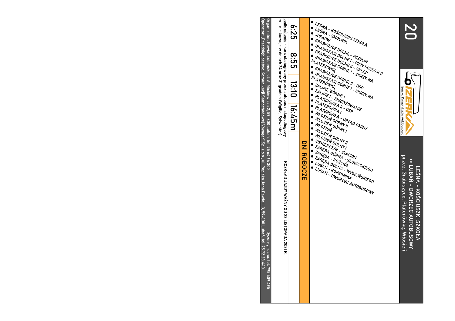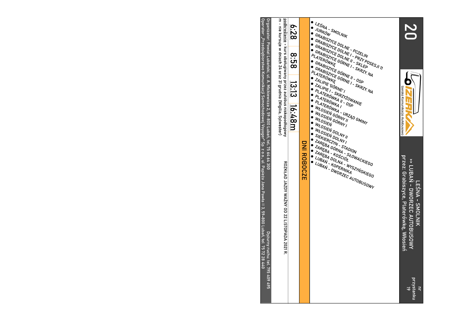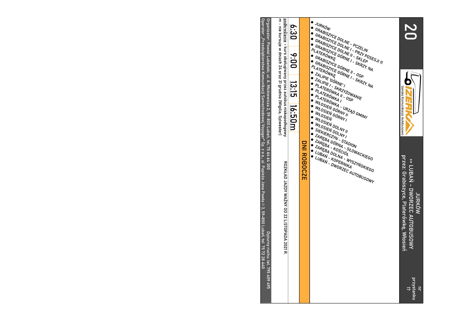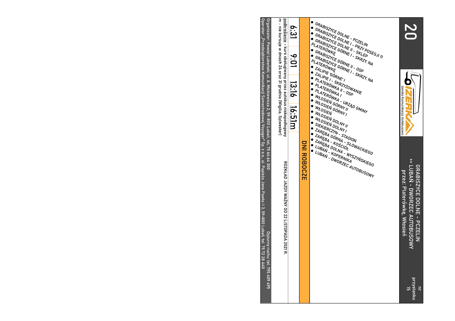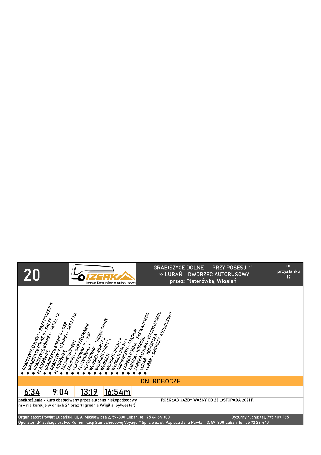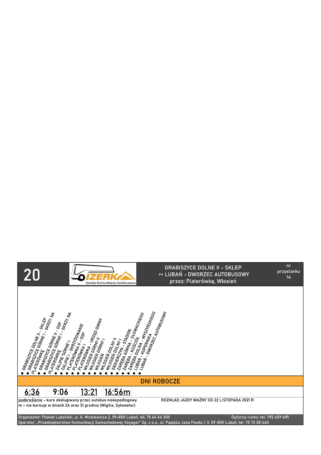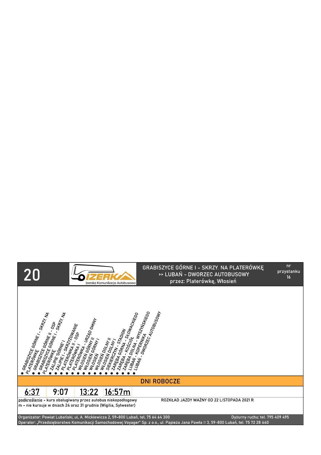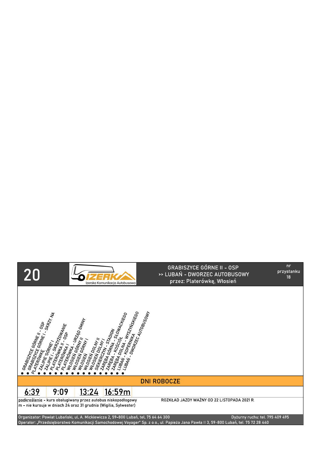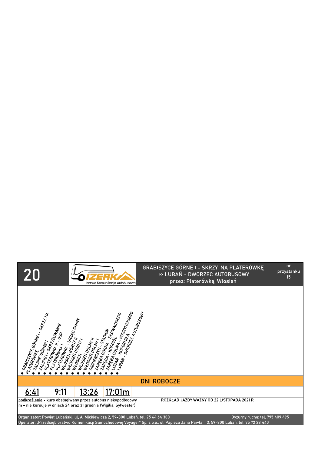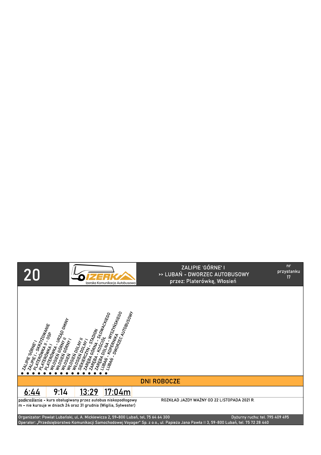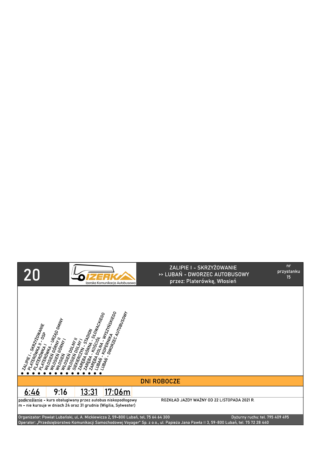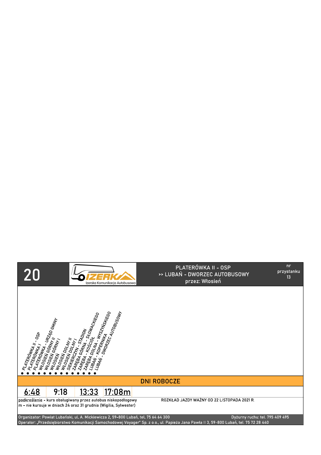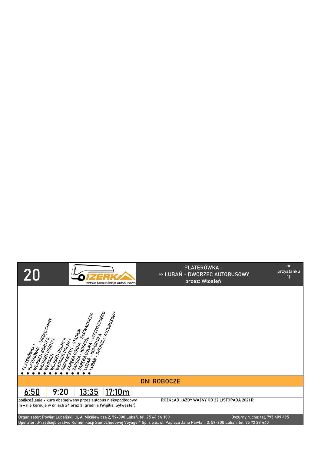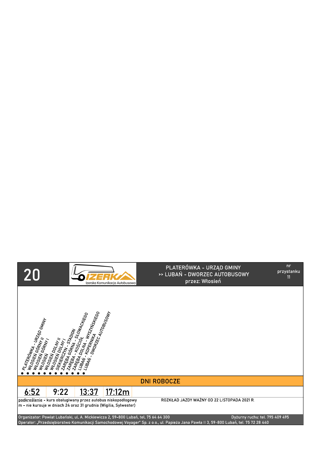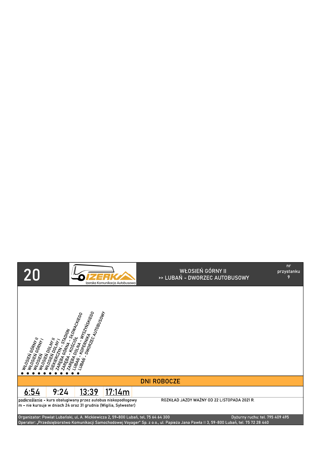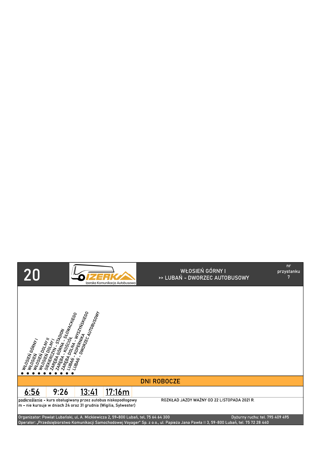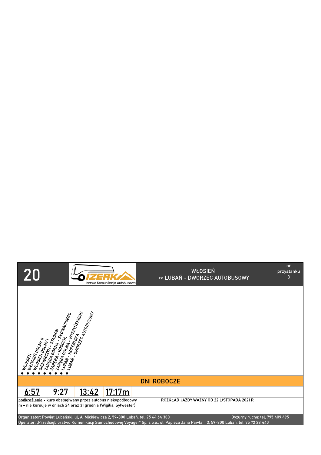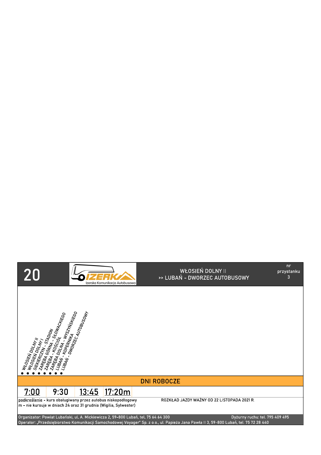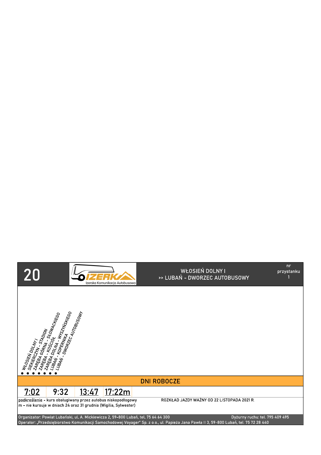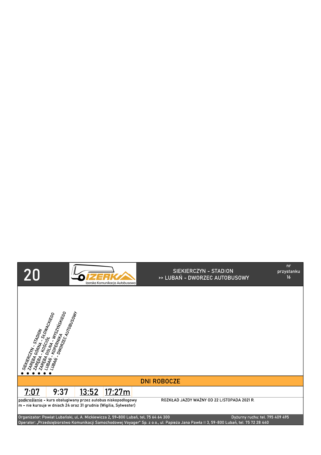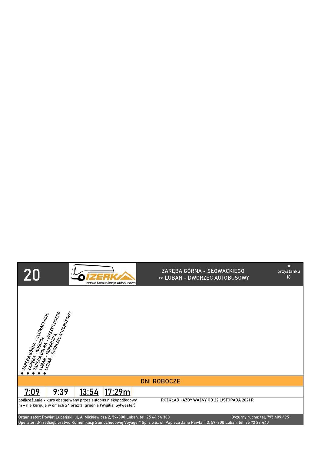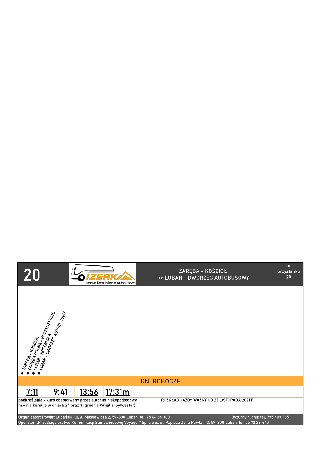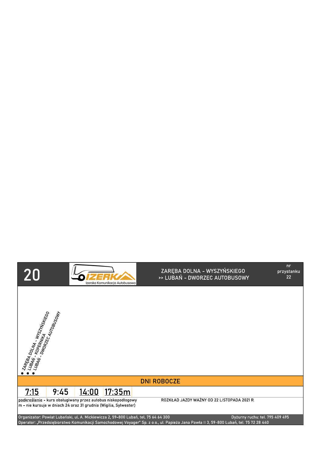